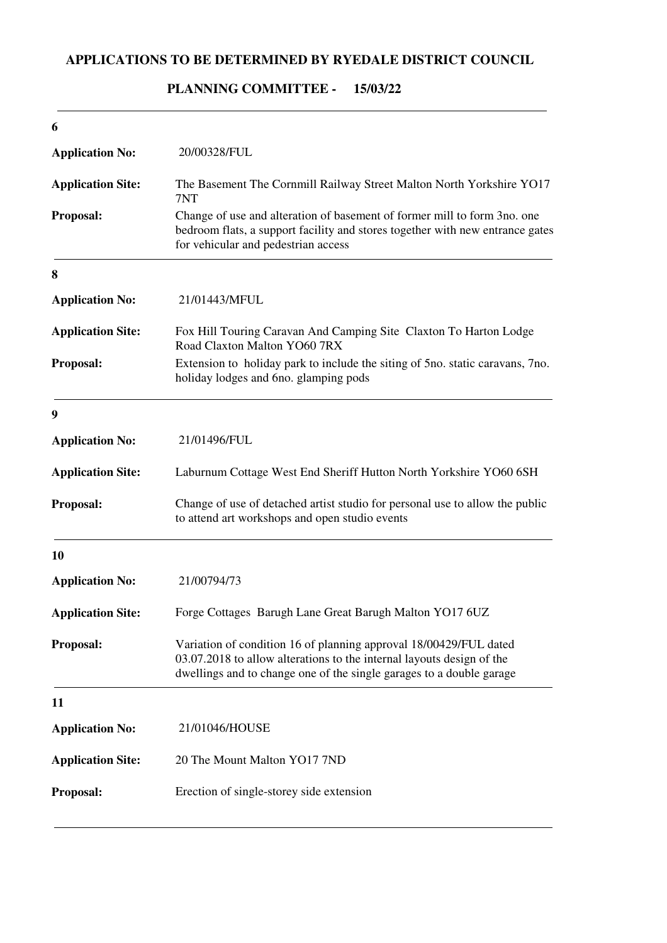## **APPLICATIONS TO BE DETERMINED BY RYEDALE DISTRICT COUNCIL**

# 20/00328/FUL Change of use and alteration of basement of former mill to form 3no. one bedroom flats, a support facility and stores together with new entrance gates for vehicular and pedestrian access **6 Application No: Proposal: Application Site:** The Basement The Cornmill Railway Street Malton North Yorkshire YO17 7NT 21/01443/MFUL Extension to holiday park to include the siting of 5no. static caravans, 7no. holiday lodges and 6no. glamping pods **8 Application No: Proposal: Application Site:** Fox Hill Touring Caravan And Camping Site Claxton To Harton Lodge Road Claxton Malton YO60 7RX 21/01496/FUL Change of use of detached artist studio for personal use to allow the public to attend art workshops and open studio events **9 Application No: Proposal: Application Site:** Laburnum Cottage West End Sheriff Hutton North Yorkshire YO60 6SH 21/00794/73 Variation of condition 16 of planning approval 18/00429/FUL dated 03.07.2018 to allow alterations to the internal layouts design of the dwellings and to change one of the single garages to a double garage **10 Application No: Proposal: Application Site:** Forge Cottages Barugh Lane Great Barugh Malton YO17 6UZ 21/01046/HOUSE Erection of single-storey side extension **11 Application No: Proposal: Application Site:** 20 The Mount Malton YO17 7ND

#### **15/03/22 PLANNING COMMITTEE -**